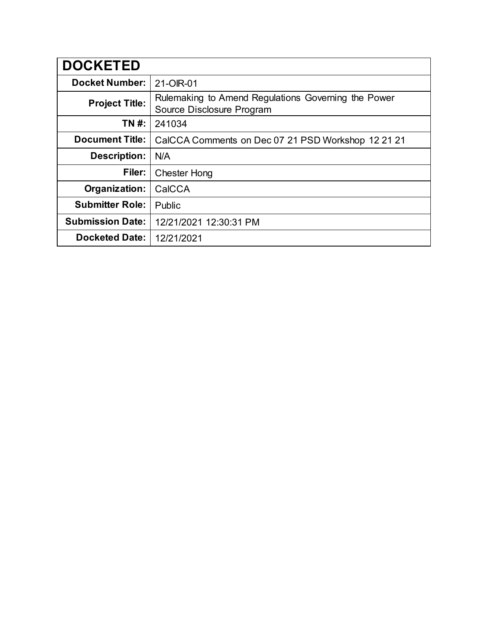| <b>DOCKETED</b>         |                                                                                  |
|-------------------------|----------------------------------------------------------------------------------|
| <b>Docket Number:</b>   | 21-OIR-01                                                                        |
| <b>Project Title:</b>   | Rulemaking to Amend Regulations Governing the Power<br>Source Disclosure Program |
| TN #:                   | 241034                                                                           |
| <b>Document Title:</b>  | CalCCA Comments on Dec 07 21 PSD Workshop 12 21 21                               |
| <b>Description:</b>     | N/A                                                                              |
| Filer:                  | <b>Chester Hong</b>                                                              |
| Organization:           | CalCCA                                                                           |
| <b>Submitter Role:</b>  | Public                                                                           |
| <b>Submission Date:</b> | 12/21/2021 12:30:31 PM                                                           |
| <b>Docketed Date:</b>   | 12/21/2021                                                                       |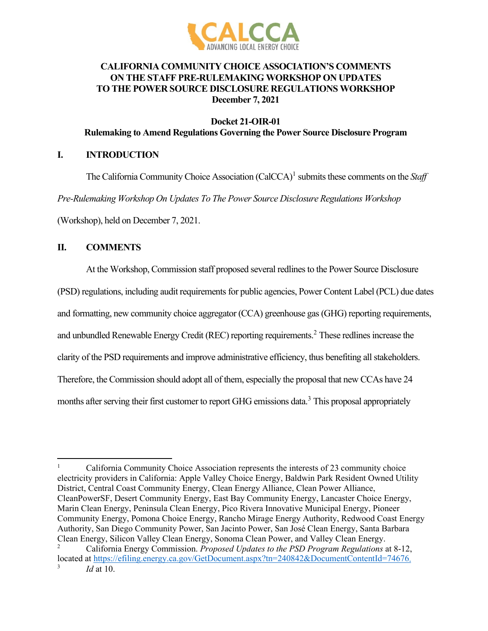

## **CALIFORNIA COMMUNITY CHOICE ASSOCIATION'S COMMENTS ON THE STAFF PRE-RULEMAKING WORKSHOP ON UPDATES TO THE POWER SOURCE DISCLOSURE REGULATIONS WORKSHOP December 7, 2021**

**Docket 21-OIR-01**

**Rulemaking to Amend Regulations Governing the Power Source Disclosure Program**

## **I. INTRODUCTION**

The California Community Choice Association (CalCCA)<sup>1</sup> submits these comments on the *Staff Pre-Rulemaking Workshop On Updates To The Power Source Disclosure Regulations Workshop*  (Workshop), held on December 7, 2021.

## **II. COMMENTS**

At the Workshop, Commission staff proposed several redlines to the Power Source Disclosure (PSD) regulations, including audit requirements for public agencies, Power Content Label (PCL) due dates and formatting, new community choice aggregator (CCA) greenhouse gas (GHG) reporting requirements, and unbundled Renewable Energy Credit (REC) reporting requirements.<sup>[2](#page-1-1)</sup> These redlines increase the clarity of the PSD requirements and improve administrative efficiency, thus benefiting all stakeholders. Therefore, the Commission should adopt all of them, especially the proposal that new CCAs have 24 months after serving their first customer to report GHG emissions data.<sup>[3](#page-1-2)</sup> This proposal appropriately

<span id="page-1-0"></span><sup>1</sup> California Community Choice Association represents the interests of 23 community choice electricity providers in California: Apple Valley Choice Energy, Baldwin Park Resident Owned Utility District, Central Coast Community Energy, Clean Energy Alliance, Clean Power Alliance, CleanPowerSF, Desert Community Energy, East Bay Community Energy, Lancaster Choice Energy, Marin Clean Energy, Peninsula Clean Energy, Pico Rivera Innovative Municipal Energy, Pioneer Community Energy, Pomona Choice Energy, Rancho Mirage Energy Authority, Redwood Coast Energy Authority, San Diego Community Power, San Jacinto Power, San José Clean Energy, Santa Barbara Clean Energy, Silicon Valley Clean Energy, Sonoma Clean Power, and Valley Clean Energy.

<span id="page-1-2"></span><span id="page-1-1"></span><sup>2</sup> California Energy Commission. *Proposed Updates to the PSD Program Regulations* at 8-12, located at [https://efiling.energy.ca.gov/GetDocument.aspx?tn=240842&DocumentContentId=74676.](https://efiling.energy.ca.gov/GetDocument.aspx?tn=240842&DocumentContentId=74676) 3 *Id* at 10.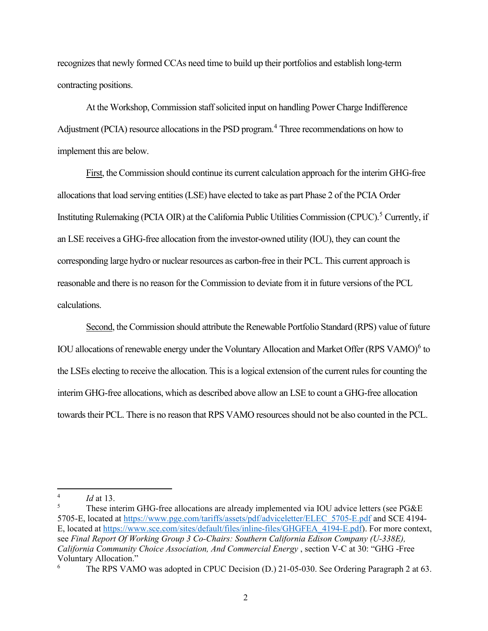recognizes that newly formed CCAs need time to build up their portfolios and establish long-term contracting positions.

At the Workshop, Commission staff solicited input on handling Power Charge Indifference Adjustment (PCIA) resource allocations in the PSD program.<sup>[4](#page-2-0)</sup> Three recommendations on how to implement this are below.

First, the Commission should continue its current calculation approach for the interim GHG-free allocationsthat load serving entities (LSE) have elected to take as part Phase 2 of the PCIA Order Instituting Rulemaking (PCIA OIR) at the California Public Utilities Commission (CPUC).<sup>[5](#page-2-1)</sup> Currently, if an LSE receives a GHG-free allocation from the investor-owned utility (IOU), they can count the corresponding large hydro or nuclear resources as carbon-free in their PCL. This current approach is reasonable and there is no reason for the Commission to deviate from it in future versions of the PCL calculations.

Second, the Commission should attribute the Renewable Portfolio Standard (RPS) value of future IOU allocations of renewable energy under the Voluntary Allocation and Market Offer (RPS VAMO)<sup>[6](#page-2-2)</sup> to the LSEs electing to receive the allocation. This is a logical extension of the current rules for counting the interim GHG-free allocations, which as described above allow an LSE to count a GHG-free allocation towards their PCL. There is no reason that RPS VAMO resources should not be also counted in the PCL.

<span id="page-2-0"></span><sup>4</sup> *Id* at 13.

<span id="page-2-1"></span><sup>5</sup> These interim GHG-free allocations are already implemented via IOU advice letters (see PG&E 5705-E, located at [https://www.pge.com/tariffs/assets/pdf/adviceletter/ELEC\\_5705-E.pdf](https://www.pge.com/tariffs/assets/pdf/adviceletter/ELEC_5705-E.pdf) and SCE 4194- E, located at [https://www.sce.com/sites/default/files/inline-files/GHGFEA\\_4194-E.pdf\)](https://www.sce.com/sites/default/files/inline-files/GHGFEA_4194-E.pdf). For more context, see *Final Report Of Working Group 3 Co-Chairs: Southern California Edison Company (U-338E), California Community Choice Association, And Commercial Energy* , section V-C at 30: "GHG -Free Voluntary Allocation."

<span id="page-2-2"></span><sup>6</sup> The RPS VAMO was adopted in CPUC Decision (D.) 21-05-030. See Ordering Paragraph 2 at 63.